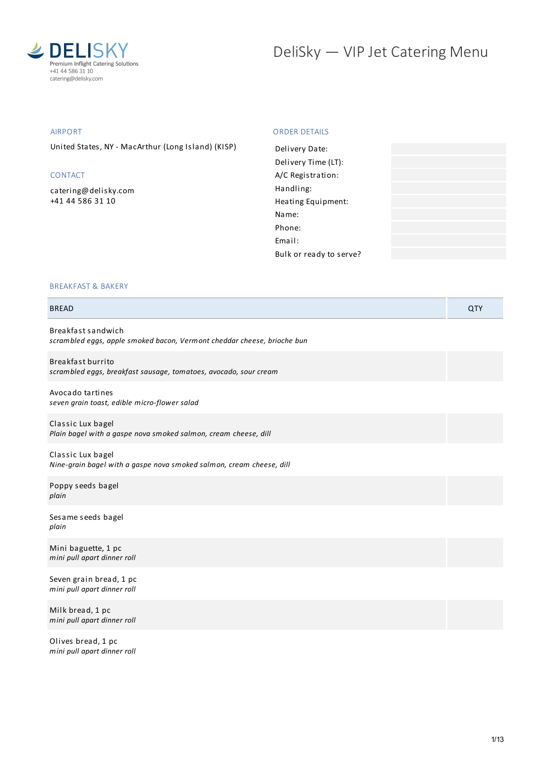

# DeliSky - VIP Jet Catering Menu

#### AIRPORT

United States, NY - MacArthur (Long Island) (KISP)

#### CONTACT

[catering@delisky.com](mailto:catering@delisky.com) +41 44 586 31 10

#### ORDER DETAILS

| Delivery Date:          |  |
|-------------------------|--|
| Delivery Time (LT):     |  |
| A/C Registration:       |  |
| Handling:               |  |
| Heating Equipment:      |  |
| Name:                   |  |
| Phone:                  |  |
| Email:                  |  |
| Bulk or ready to serve? |  |

#### BREAKFAST & BAKERY

| <b>BREAD</b>                                                                                  | QTY |
|-----------------------------------------------------------------------------------------------|-----|
| Breakfast sandwich<br>scrambled eggs, apple smoked bacon, Vermont cheddar cheese, brioche bun |     |
| Breakfast burrito<br>scrambled eggs, breakfast sausage, tomatoes, avocado, sour cream         |     |
| Avocado tartines<br>seven grain toast, edible micro-flower salad                              |     |
| Classic Lux bagel<br>Plain bagel with a gaspe nova smoked salmon, cream cheese, dill          |     |
| Classic Lux bagel<br>Nine-grain bagel with a gaspe nova smoked salmon, cream cheese, dill     |     |
| Poppy seeds bagel<br>plain                                                                    |     |
| Sesame seeds bagel<br>plain                                                                   |     |
| Mini baguette, 1 pc<br>mini pull apart dinner roll                                            |     |
| Seven grain bread, 1 pc<br>mini pull apart dinner roll                                        |     |
| Milk bread, 1 pc<br>mini pull apart dinner roll                                               |     |
| $\mathbf{A}$ $\mathbf{B}$ $\mathbf{A}$ $\mathbf{A}$                                           |     |

Olives bread, 1 pc *mini pull apart dinner roll*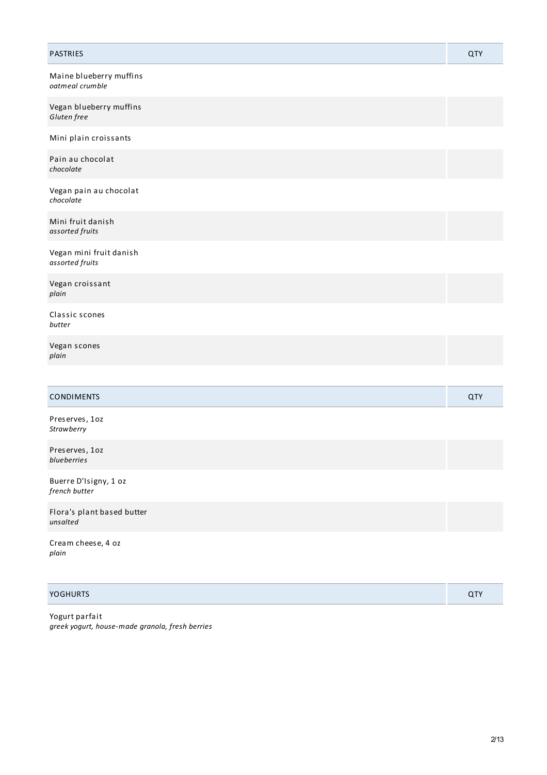| PASTRIES                                   | <b>QTY</b> |
|--------------------------------------------|------------|
| Maine blueberry muffins<br>oatmeal crumble |            |
| Vegan blueberry muffins<br>Gluten free     |            |
| Mini plain croissants                      |            |
| Pain au chocolat<br>chocolate              |            |
| Vegan pain au chocolat<br>chocolate        |            |
| Mini fruit danish<br>assorted fruits       |            |
| Vegan mini fruit danish<br>assorted fruits |            |
| Vegan croissant<br>plain                   |            |
| Classic scones<br>butter                   |            |
| Vegan scones<br>plain                      |            |
|                                            |            |
| <b>CONDIMENTS</b>                          | QTY        |
| Preserves, 1oz<br>Strawberry               |            |
| Preserves, 1oz<br>blueberries              |            |
| Buerre D'Isigny, 1 oz<br>french butter     |            |
| Flora's plant based butter<br>unsalted     |            |
| Cream cheese, 4 oz<br>plain                |            |

| <b>YOGHURTS</b> |  |
|-----------------|--|
|-----------------|--|

Yogurt parfait *greek yogurt, house-made granola, fresh berries*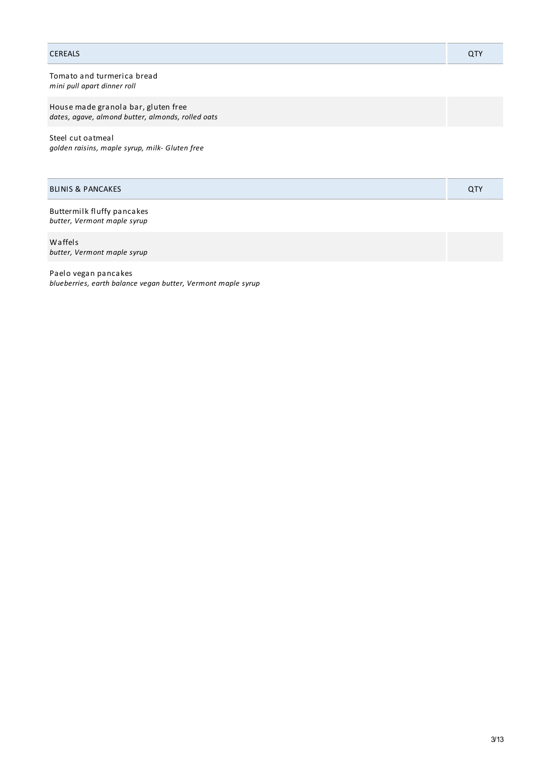#### CEREALS QTY

Tomato and turmerica bread *mini pull apart dinner roll*

House made granola bar, gluten free *dates, agave, almond butter, almonds, rolled oats*

Steel cut oatmeal *golden raisins, maple syrup, milk- Gluten free*

| <b>BLINIS &amp; PANCAKES</b> |  |
|------------------------------|--|
|                              |  |

Buttermilk fluffy pancakes *butter, Vermont maple syrup*

Waffels *butter, Vermont maple syrup*

Paelo vegan pancakes *blueberries, earth balance vegan butter, Vermont maple syrup*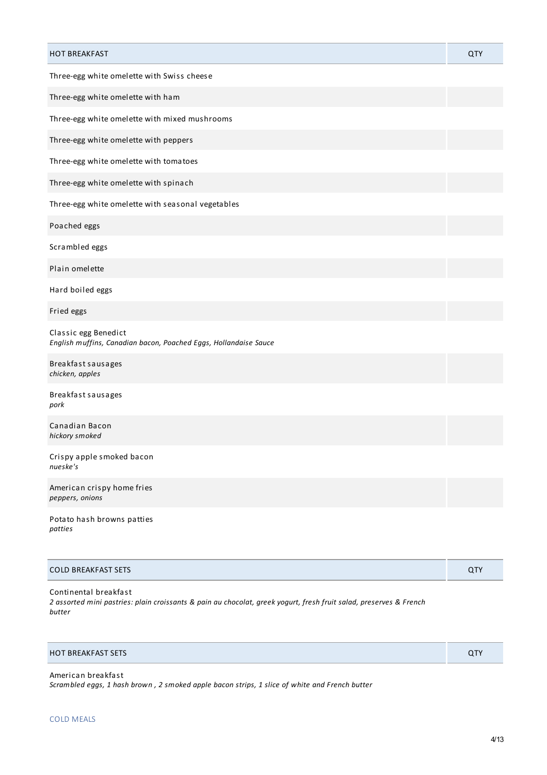| <b>HOT BREAKFAST</b>                                                                     | QTY |
|------------------------------------------------------------------------------------------|-----|
| Three-egg white omelette with Swiss cheese                                               |     |
| Three-egg white omelette with ham                                                        |     |
| Three-egg white omelette with mixed mushrooms                                            |     |
| Three-egg white omelette with peppers                                                    |     |
| Three-egg white omelette with tomatoes                                                   |     |
| Three-egg white omelette with spinach                                                    |     |
| Three-egg white omelette with seasonal vegetables                                        |     |
| Poached eggs                                                                             |     |
| Scrambled eggs                                                                           |     |
| Plain omelette                                                                           |     |
| Hard boiled eggs                                                                         |     |
| Fried eggs                                                                               |     |
| Classic egg Benedict<br>English muffins, Canadian bacon, Poached Eggs, Hollandaise Sauce |     |
| Breakfast sausages<br>chicken, apples                                                    |     |
| Breakfast sausages<br>pork                                                               |     |
| Canadian Bacon<br>hickory smoked                                                         |     |
| Crispy apple smoked bacon<br>nueske's                                                    |     |
| American crispy home fries<br>peppers, onions                                            |     |
| Potato hash browns patties<br>patties                                                    |     |

| <b>COLD BREAKFAST SETS</b> |  |
|----------------------------|--|
|                            |  |

Continental breakfast 2 assorted mini pastries: plain croissants & pain au chocolat, greek yogurt, fresh fruit salad, preserves & French *butter*

### HOT BREAKFAST SETS QTY

| American breakfast                                                                             |  |
|------------------------------------------------------------------------------------------------|--|
| Scrambled eggs, 1 hash brown , 2 smoked apple bacon strips, 1 slice of white and French butter |  |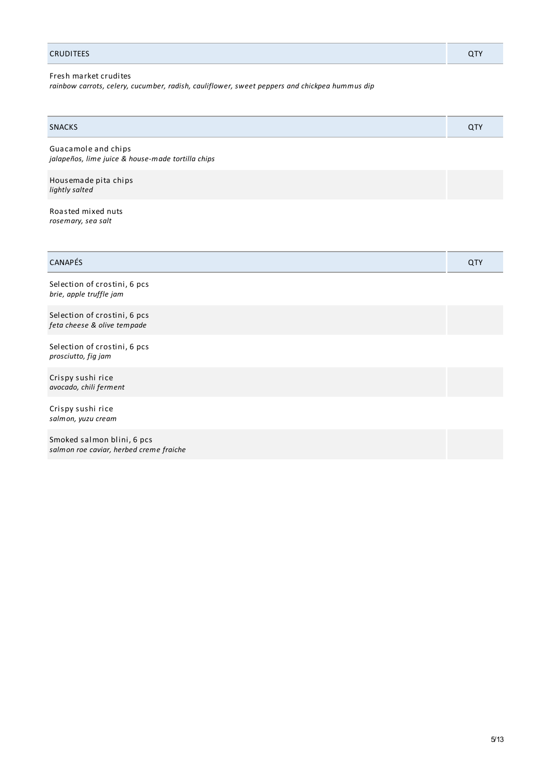#### CRUDITEES QTY

Fresh market crudites

*rainbow carrots, celery, cucumber, radish, cauliflower, sweet peppers and chickpea hummus dip*

| <b>SNACKS</b>                                                            | <b>QTY</b> |
|--------------------------------------------------------------------------|------------|
| Guacamole and chips<br>jalapeños, lime juice & house-made tortilla chips |            |
| Housemade pita chips<br>lightly salted                                   |            |

Roasted mixed nuts *rosemary, sea salt*

| $\sim$ $\sim$ $\sim$<br>$\mathbf{N}$ |  |
|--------------------------------------|--|
|                                      |  |

Selection of crostini, 6 pcs *brie, apple truffle jam*

Selection of crostini, 6 pcs *feta cheese & olive tempade*

Selection of crostini, 6 pcs *prosciutto, fig jam*

Crispy sushi rice *avocado, chili ferment*

Crispy sushi rice *salmon, yuzu cream*

Smoked salmon blini, 6 pcs *salmon roe caviar, herbed creme fraiche*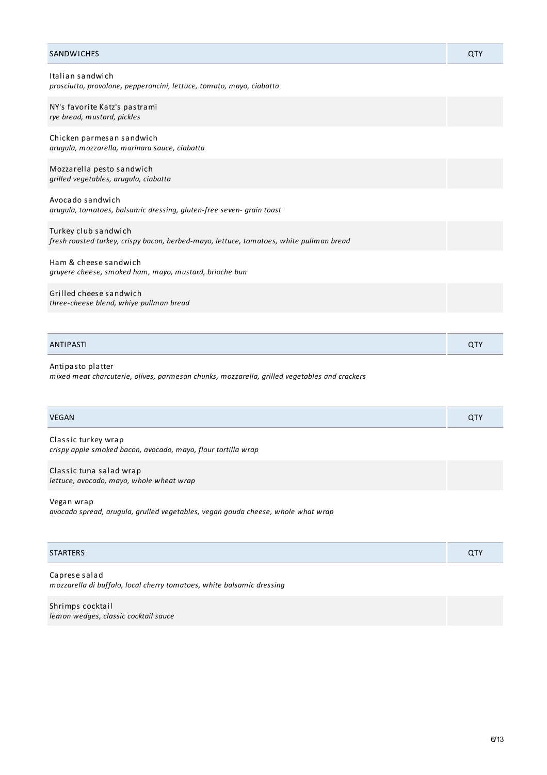| <b>SANDWICHES</b>                                                                                                 | QTY |
|-------------------------------------------------------------------------------------------------------------------|-----|
| Italian sandwich<br>prosciutto, provolone, pepperoncini, lettuce, tomato, mayo, ciabatta                          |     |
| NY's favorite Katz's pastrami<br>rye bread, mustard, pickles                                                      |     |
| Chicken parmesan sandwich<br>arugula, mozzarella, marinara sauce, ciabatta                                        |     |
| Mozzarella pesto sandwich<br>grilled vegetables, arugula, ciabatta                                                |     |
| Avocado sandwich<br>arugula, tomatoes, balsamic dressing, gluten-free seven- grain toast                          |     |
| Turkey club sandwich<br>fresh roasted turkey, crispy bacon, herbed-mayo, lettuce, tomatoes, white pullman bread   |     |
| Ham & cheese sandwich<br>gruyere cheese, smoked ham, mayo, mustard, brioche bun                                   |     |
| Grilled cheese sandwich<br>three-cheese blend, whiye pullman bread                                                |     |
|                                                                                                                   |     |
| ANTIPASTI                                                                                                         | QTY |
| Antipasto platter<br>mixed meat charcuterie, olives, parmesan chunks, mozzarella, grilled vegetables and crackers |     |
| <b>VEGAN</b>                                                                                                      | QTY |
| Classic turkey wrap<br>crispy apple smoked bacon, avocado, mayo, flour tortilla wrap                              |     |
| Classic tuna salad wrap<br>lettuce, avocado, mayo, whole wheat wrap                                               |     |

Vegan wrap

*avocado spread, arugula, grulled vegetables, vegan gouda cheese, whole what wrap*

#### STARTERS QTY

Caprese salad *mozzarella di buffalo, local cherry tomatoes, white balsamic dressing*

Shrimps cocktail *lemon wedges, classic cocktail sauce*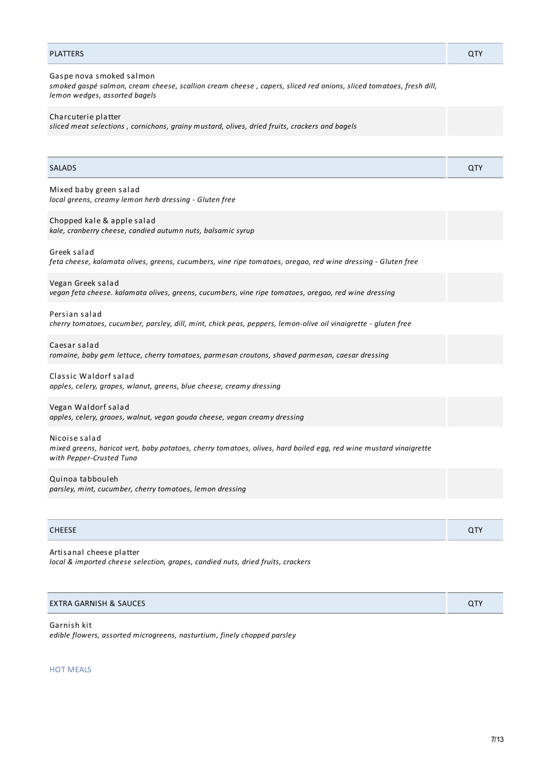#### PLATTERS QTY

Gaspe nova smoked salmon smoked gaspé salmon, cream cheese, scallion cream cheese, capers, sliced red onions, sliced tomatoes, fresh dill, *lemon wedges, assorted bagels*

Charcuterie platter

*sliced meat selections , cornichons, grainy mustard, olives, dried fruits, crackers and bagels*

| <b>SALADS</b>                                                                                                                                                  | <b>QTY</b> |
|----------------------------------------------------------------------------------------------------------------------------------------------------------------|------------|
| Mixed baby green salad<br>local greens, creamy lemon herb dressing - Gluten free                                                                               |            |
| Chopped kale & apple salad<br>kale, cranberry cheese, candied autumn nuts, balsamic syrup                                                                      |            |
| Greek salad<br>feta cheese, kalamata olives, greens, cucumbers, vine ripe tomatoes, oregao, red wine dressing - Gluten free                                    |            |
| Vegan Greek salad<br>vegan feta cheese. kalamata olives, greens, cucumbers, vine ripe tomatoes, oregao, red wine dressing                                      |            |
| Persian salad<br>cherry tomatoes, cucumber, parsley, dill, mint, chick peas, peppers, lemon-olive oil vinaigrette - gluten free                                |            |
| Caesar salad<br>romaine, baby gem lettuce, cherry tomatoes, parmesan croutons, shaved parmesan, caesar dressing                                                |            |
| Classic Waldorf salad<br>apples, celery, grapes, wlanut, greens, blue cheese, creamy dressing                                                                  |            |
| Vegan Waldorf salad<br>apples, celery, graoes, walnut, vegan gouda cheese, vegan creamy dressing                                                               |            |
| Nicoise salad<br>mixed greens, haricot vert, baby potatoes, cherry tomatoes, olives, hard boiled egg, red wine mustard vinaigrette<br>with Pepper-Crusted Tuna |            |
| Quinoa tabbouleh<br>parsley, mint, cucumber, cherry tomatoes, lemon dressing                                                                                   |            |

#### CHEESE QTY

Artisanal cheese platter *local & imported cheese selection, grapes, candied nuts, dried fruits, crackers*

| EXTRA GARNISH & SAUCES | $\cap$ TV<br>u i |
|------------------------|------------------|

Garnish kit *edible flowers, assorted microgreens, nasturtium, finely chopped parsley*

HOT MEALS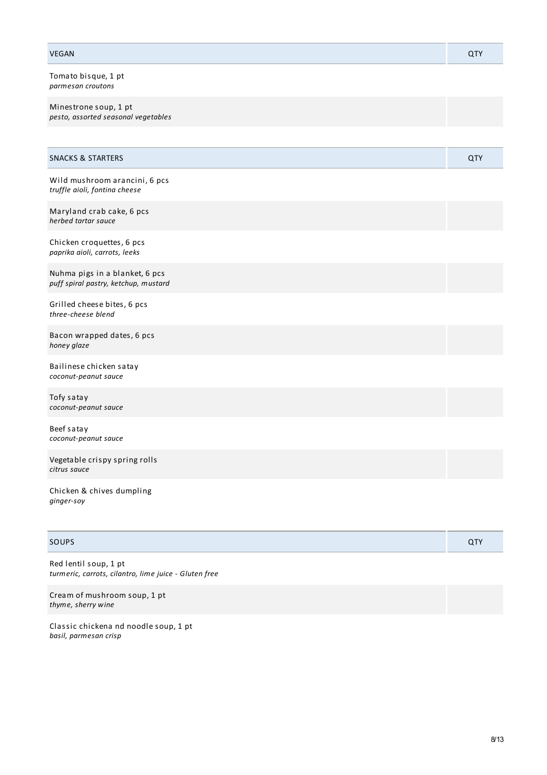| <b>VEGAN</b>                                                           | QTY |
|------------------------------------------------------------------------|-----|
| Tomato bisque, 1 pt<br>parmesan croutons                               |     |
| Minestrone soup, 1 pt<br>pesto, assorted seasonal vegetables           |     |
|                                                                        |     |
| <b>SNACKS &amp; STARTERS</b>                                           | QTY |
| Wild mushroom arancini, 6 pcs<br>truffle aioli, fontina cheese         |     |
| Maryland crab cake, 6 pcs<br>herbed tartar sauce                       |     |
| Chicken croquettes, 6 pcs<br>paprika aioli, carrots, leeks             |     |
| Nuhma pigs in a blanket, 6 pcs<br>puff spiral pastry, ketchup, mustard |     |
| Grilled cheese bites, 6 pcs<br>three-cheese blend                      |     |
| Bacon wrapped dates, 6 pcs<br>honey glaze                              |     |
| Bailinese chicken satay<br>coconut-peanut sauce                        |     |
| Tofy satay<br>coconut-peanut sauce                                     |     |
| Beef satay<br>coconut-peanut sauce                                     |     |
| Vegetable crispy spring rolls<br>citrus sauce                          |     |
| Chicken & chives dumpling                                              |     |

# SOUPS And the contract of the contract of the contract of the contract of the contract of the contract of the contract of the contract of the contract of the contract of the contract of the contract of the contract of the

*ginger-soy*

Red lentil soup, 1 pt *turmeric, carrots, cilantro, lime juice - Gluten free*

Cream of mushroom soup, 1 pt *thyme, sherry wine*

Classic chickena nd noodle soup, 1 pt *basil, parmesan crisp*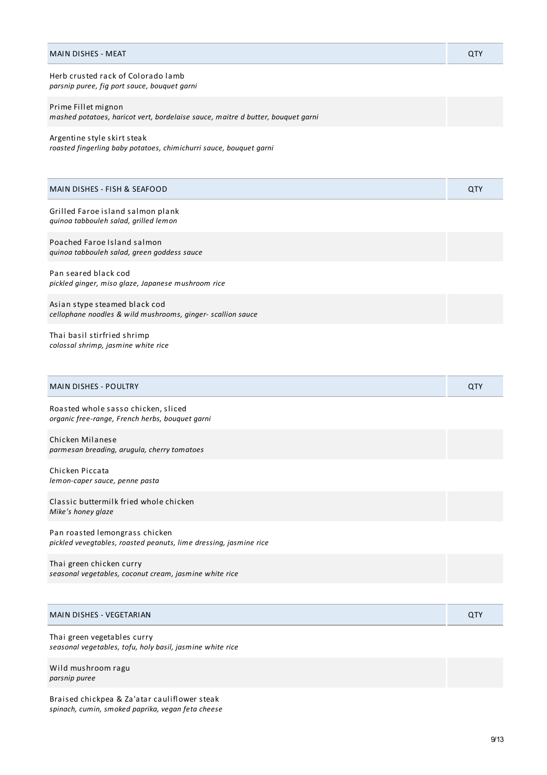| <b>MAIN DISHES - MEAT</b>                                                                              | QTY |
|--------------------------------------------------------------------------------------------------------|-----|
| Herb crusted rack of Colorado lamb<br>parsnip puree, fig port sauce, bouquet garni                     |     |
| Prime Fillet mignon<br>mashed potatoes, haricot vert, bordelaise sauce, maitre d butter, bouquet garni |     |
| Argentine style skirt steak<br>roasted fingerling baby potatoes, chimichurri sauce, bouquet garni      |     |
| MAIN DISHES - FISH & SEAFOOD                                                                           | QTY |
| Grilled Faroe island salmon plank<br>quinoa tabbouleh salad, grilled lemon                             |     |
| Poached Faroe Island salmon<br>quinoa tabbouleh salad, green goddess sauce                             |     |
| Pan seared black cod<br>pickled ginger, miso glaze, Japanese mushroom rice                             |     |
| Asian stype steamed black cod<br>cellophane noodles & wild mushrooms, ginger- scallion sauce           |     |
| Thai basil stirfried shrimp<br>colossal shrimp, jasmine white rice                                     |     |
| <b>MAIN DISHES - POULTRY</b>                                                                           | QTY |
| Roasted whole sasso chicken, sliced<br>organic free-range, French herbs, bouquet garni                 |     |
| Chicken Milanese<br>parmesan breading, arugula, cherry tomatoes                                        |     |
| Chicken Piccata<br>lemon-caper sauce, penne pasta                                                      |     |
| Classic buttermilk fried whole chicken<br>Mike's honey glaze                                           |     |
| Pan roasted lemongrass chicken<br>pickled vevegtables, roasted peanuts, lime dressing, jasmine rice    |     |
| Thai green chicken curry<br>seasonal vegetables, coconut cream, jasmine white rice                     |     |
|                                                                                                        |     |
| MAIN DISHES - VEGETARIAN                                                                               | QTY |

Thai green vegetables curry *seasonal vegetables, tofu, holy basil, jasmine white rice*

Wild mushroom ragu *parsnip puree*

Braised chickpea & Za'atar cauliflower steak *spinach, cumin, smoked paprika, vegan feta cheese*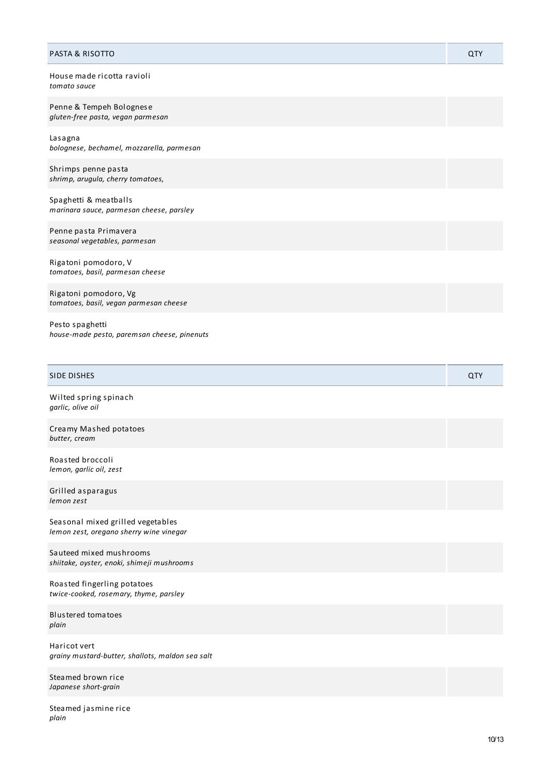| <b>PASTA &amp; RISOTTO</b>                                        | QTY |
|-------------------------------------------------------------------|-----|
| House made ricotta ravioli<br>tomato sauce                        |     |
| Penne & Tempeh Bolognese<br>gluten-free pasta, vegan parmesan     |     |
| Lasagna<br>bolognese, bechamel, mozzarella, parmesan              |     |
| Shrimps penne pasta<br>shrimp, arugula, cherry tomatoes,          |     |
| Spaghetti & meatballs<br>marinara sauce, parmesan cheese, parsley |     |
| Penne pasta Primavera<br>seasonal vegetables, parmesan            |     |
| Rigatoni pomodoro, V<br>tomatoes, basil, parmesan cheese          |     |
| Rigatoni pomodoro, Vg<br>tomatoes, basil, vegan parmesan cheese   |     |
| Pesto spaghetti<br>house-made pesto, paremsan cheese, pinenuts    |     |

| <b>SIDE DISHES</b>                                                           | QTY |
|------------------------------------------------------------------------------|-----|
| Wilted spring spinach<br>garlic, olive oil                                   |     |
| Creamy Mashed potatoes<br>butter, cream                                      |     |
| Roasted broccoli<br>lemon, garlic oil, zest                                  |     |
| Grilled asparagus<br>lemon zest                                              |     |
| Seasonal mixed grilled vegetables<br>lemon zest, oregano sherry wine vinegar |     |
| Sauteed mixed mushrooms<br>shiitake, oyster, enoki, shimeji mushrooms        |     |
| Roasted fingerling potatoes<br>twice-cooked, rosemary, thyme, parsley        |     |
| <b>Blustered tomatoes</b><br>plain                                           |     |
| Haricot vert<br>grainy mustard-butter, shallots, maldon sea salt             |     |
| Steamed brown rice<br>Japanese short-grain                                   |     |

Steamed jasmine rice *p l a i n*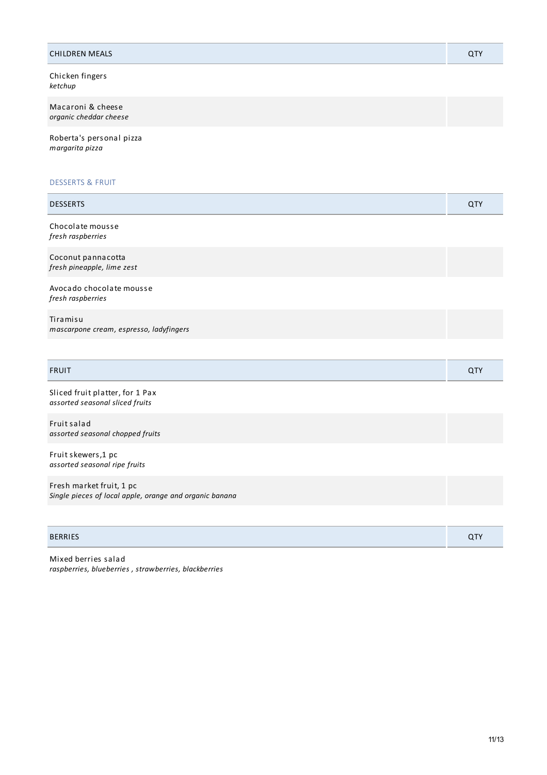| <b>CHILDREN MEALS</b>                                                               | QTY |
|-------------------------------------------------------------------------------------|-----|
| Chicken fingers<br>ketchup                                                          |     |
| Macaroni & cheese<br>organic cheddar cheese                                         |     |
| Roberta's personal pizza<br>margarita pizza                                         |     |
| <b>DESSERTS &amp; FRUIT</b>                                                         |     |
| <b>DESSERTS</b>                                                                     | QTY |
| Chocolate mousse<br>fresh raspberries                                               |     |
| Coconut pannacotta<br>fresh pineapple, lime zest                                    |     |
| Avocado chocolate mousse<br>fresh raspberries                                       |     |
| Tiramisu<br>mascarpone cream, espresso, ladyfingers                                 |     |
| <b>FRUIT</b>                                                                        | QTY |
| Sliced fruit platter, for 1 Pax<br>assorted seasonal sliced fruits                  |     |
| Fruit salad<br>assorted seasonal chopped fruits                                     |     |
| Fruit skewers, 1 pc<br>assorted seasonal ripe fruits                                |     |
| Fresh market fruit, 1 pc<br>Single pieces of local apple, orange and organic banana |     |
|                                                                                     |     |
| <b>BERRIES</b>                                                                      | QTY |

Mixed berries salad *raspberries, blueberries , strawberries, blackberries*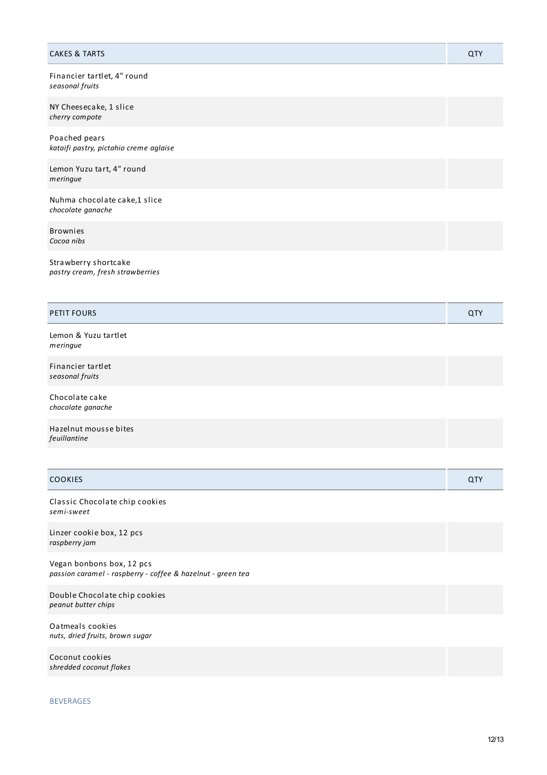| <b>CAKES &amp; TARTS</b>                                 | QTY |
|----------------------------------------------------------|-----|
| Financier tartlet, 4" round<br>seasonal fruits           |     |
| NY Cheesecake, 1 slice<br>cherry compote                 |     |
| Poached pears<br>kataifi pastry, pictahio creme aglaise  |     |
| Lemon Yuzu tart, 4" round<br>meringue                    |     |
| Nuhma chocolate cake,1 slice<br>chocolate ganache        |     |
| <b>Brownies</b><br>Cocoa nibs                            |     |
| Strawberry shortcake<br>pastry cream, fresh strawberries |     |
| <b>PETIT FOURS</b>                                       | QTY |
| Lemon & Yuzu tartlet<br>meringue                         |     |
| Financier tartlet<br>seasonal fruits                     |     |
| Chocolate cake<br>chocolate ganache                      |     |
| Hazelnut mousse bites<br>feuillantine                    |     |
|                                                          |     |
| COOKIES                                                  | QTY |
| Classic Chocolate chip cookies<br>semi-sweet             |     |
| Linzer cookie box, 12 pcs                                |     |

Vegan bonbons box, 12 pcs *passion caramel - raspberry - coffee & hazelnut - green tea*

Double Chocolate chip cookies *peanut butter chips*

Oatmeals cookies *nuts, dried fruits, brown sugar*

Coconut cookies *shredded coconut flakes*

## BEVERAGES